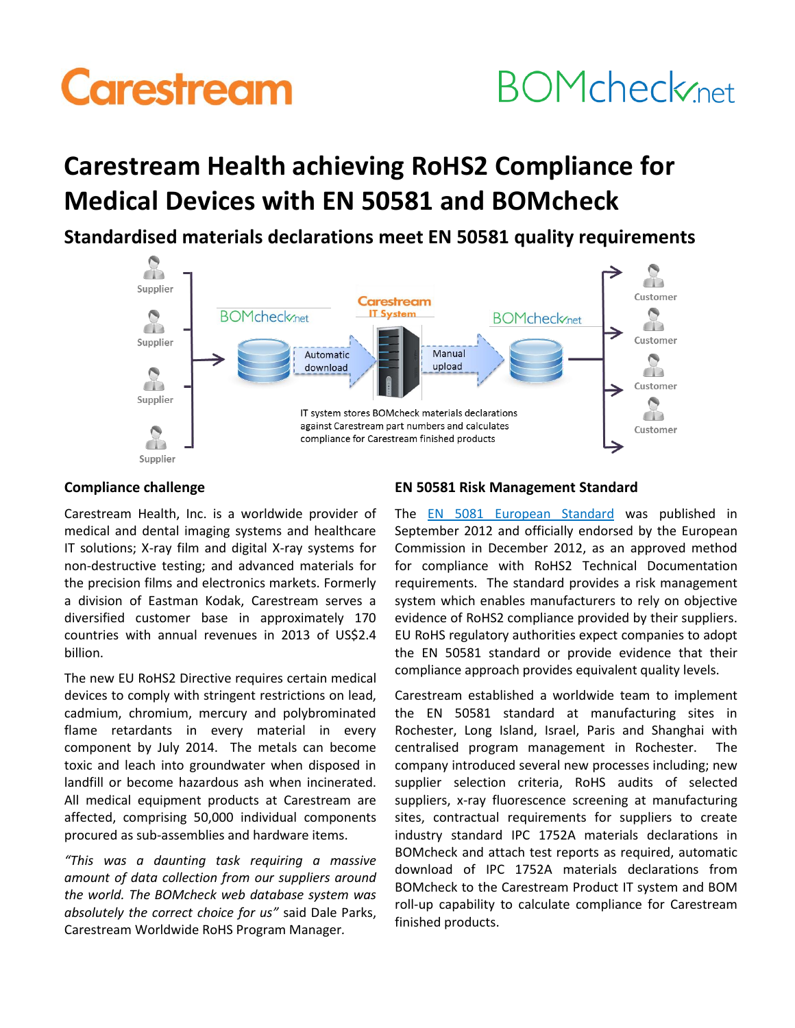# **Carestream**

## **BOMcheck**<sub>net</sub>

### **Carestream Health achieving RoHS2 Compliance for Medical Devices with EN 50581 and BOMcheck**

**Standardised materials declarations meet EN 50581 quality requirements**



### **Compliance challenge**

Carestream Health, Inc. is a worldwide provider of medical and dental imaging systems and healthcare IT solutions; X-ray film and digital X-ray systems for non-destructive testing; and advanced materials for the precision films and electronics markets. Formerly a division of Eastman Kodak, Carestream serves a diversified customer base in approximately 170 countries with annual revenues in 2013 of US\$2.4 billion.

The new EU RoHS2 Directive requires certain medical devices to comply with stringent restrictions on lead, cadmium, chromium, mercury and polybrominated flame retardants in every material in every component by July 2014. The metals can become toxic and leach into groundwater when disposed in landfill or become hazardous ash when incinerated. All medical equipment products at Carestream are affected, comprising 50,000 individual components procured as sub-assemblies and hardware items.

*"This was a daunting task requiring a massive amount of data collection from our suppliers around the world. The BOMcheck web database system was absolutely the correct choice for us"* said Dale Parks, Carestream Worldwide RoHS Program Manager*.*

### **EN 50581 Risk Management Standard**

The [EN 5081 European Standard](https://www.bomcheck.net/rohs) was published in September 2012 and officially endorsed by the European Commission in December 2012, as an approved method for compliance with RoHS2 Technical Documentation requirements. The standard provides a risk management system which enables manufacturers to rely on objective evidence of RoHS2 compliance provided by their suppliers. EU RoHS regulatory authorities expect companies to adopt the EN 50581 standard or provide evidence that their compliance approach provides equivalent quality levels.

Carestream established a worldwide team to implement the EN 50581 standard at manufacturing sites in Rochester, Long Island, Israel, Paris and Shanghai with centralised program management in Rochester. The company introduced several new processes including; new supplier selection criteria, RoHS audits of selected suppliers, x-ray fluorescence screening at manufacturing sites, contractual requirements for suppliers to create industry standard IPC 1752A materials declarations in BOMcheck and attach test reports as required, automatic download of IPC 1752A materials declarations from BOMcheck to the Carestream Product IT system and BOM roll-up capability to calculate compliance for Carestream finished products.